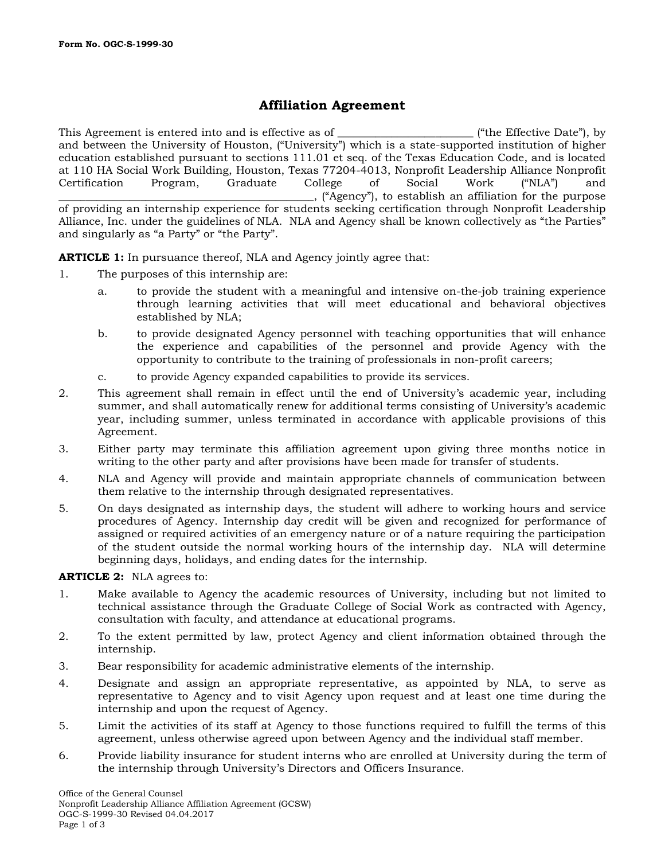# **Affiliation Agreement**

This Agreement is entered into and is effective as of  $\Box$  ("the Effective Date"), by and between the University of Houston, ("University") which is a state-supported institution of higher education established pursuant to sections 111.01 et seq. of the Texas Education Code, and is located at 110 HA Social Work Building, Houston, Texas 77204-4013, Nonprofit Leadership Alliance Nonprofit Certification Program, Graduate College of Social Work ("NLA") and \_\_\_\_\_\_\_\_\_\_\_\_\_\_\_\_\_\_\_\_\_\_\_\_\_\_\_\_\_\_\_\_\_\_\_\_\_\_\_\_\_\_\_\_\_\_\_, ("Agency"), to establish an affiliation for the purpose of providing an internship experience for students seeking certification through Nonprofit Leadership Alliance, Inc. under the guidelines of NLA. NLA and Agency shall be known collectively as "the Parties" and singularly as "a Party" or "the Party".

**ARTICLE 1:** In pursuance thereof, NLA and Agency jointly agree that:

- 1. The purposes of this internship are:
	- a. to provide the student with a meaningful and intensive on-the-job training experience through learning activities that will meet educational and behavioral objectives established by NLA;
	- b. to provide designated Agency personnel with teaching opportunities that will enhance the experience and capabilities of the personnel and provide Agency with the opportunity to contribute to the training of professionals in non-profit careers;
	- c. to provide Agency expanded capabilities to provide its services.
- 2. This agreement shall remain in effect until the end of University's academic year, including summer, and shall automatically renew for additional terms consisting of University's academic year, including summer, unless terminated in accordance with applicable provisions of this Agreement.
- 3. Either party may terminate this affiliation agreement upon giving three months notice in writing to the other party and after provisions have been made for transfer of students.
- 4. NLA and Agency will provide and maintain appropriate channels of communication between them relative to the internship through designated representatives.
- 5. On days designated as internship days, the student will adhere to working hours and service procedures of Agency. Internship day credit will be given and recognized for performance of assigned or required activities of an emergency nature or of a nature requiring the participation of the student outside the normal working hours of the internship day. NLA will determine beginning days, holidays, and ending dates for the internship.

**ARTICLE 2:** NLA agrees to:

- 1. Make available to Agency the academic resources of University, including but not limited to technical assistance through the Graduate College of Social Work as contracted with Agency, consultation with faculty, and attendance at educational programs.
- 2. To the extent permitted by law, protect Agency and client information obtained through the internship.
- 3. Bear responsibility for academic administrative elements of the internship.
- 4. Designate and assign an appropriate representative, as appointed by NLA, to serve as representative to Agency and to visit Agency upon request and at least one time during the internship and upon the request of Agency.
- 5. Limit the activities of its staff at Agency to those functions required to fulfill the terms of this agreement, unless otherwise agreed upon between Agency and the individual staff member.
- 6. Provide liability insurance for student interns who are enrolled at University during the term of the internship through University's Directors and Officers Insurance.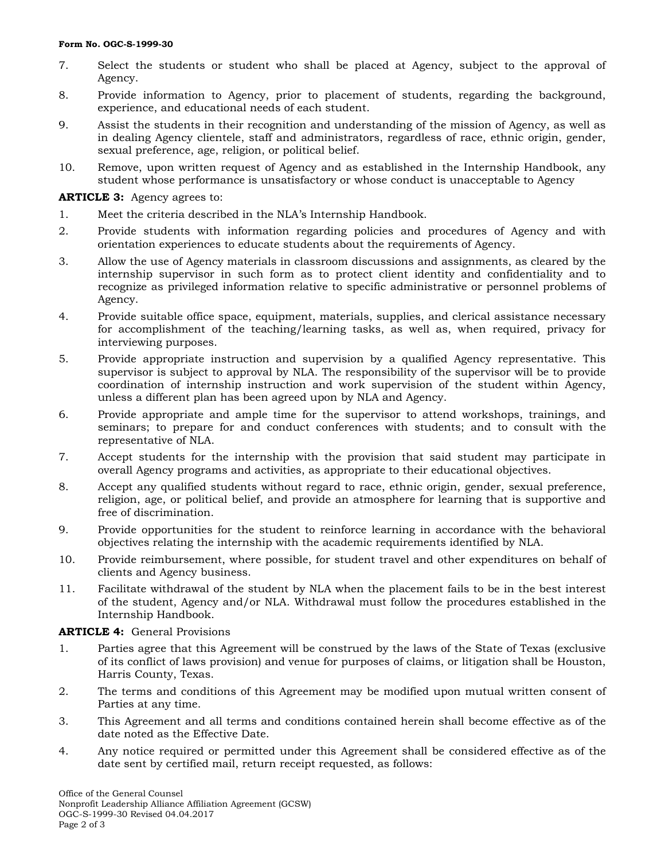#### **Form No. OGC-S-1999-30**

- 7. Select the students or student who shall be placed at Agency, subject to the approval of Agency.
- 8. Provide information to Agency, prior to placement of students, regarding the background, experience, and educational needs of each student.
- 9. Assist the students in their recognition and understanding of the mission of Agency, as well as in dealing Agency clientele, staff and administrators, regardless of race, ethnic origin, gender, sexual preference, age, religion, or political belief.
- 10. Remove, upon written request of Agency and as established in the Internship Handbook, any student whose performance is unsatisfactory or whose conduct is unacceptable to Agency

**ARTICLE 3:** Agency agrees to:

- 1. Meet the criteria described in the NLA's Internship Handbook.
- 2. Provide students with information regarding policies and procedures of Agency and with orientation experiences to educate students about the requirements of Agency.
- 3. Allow the use of Agency materials in classroom discussions and assignments, as cleared by the internship supervisor in such form as to protect client identity and confidentiality and to recognize as privileged information relative to specific administrative or personnel problems of Agency.
- 4. Provide suitable office space, equipment, materials, supplies, and clerical assistance necessary for accomplishment of the teaching/learning tasks, as well as, when required, privacy for interviewing purposes.
- 5. Provide appropriate instruction and supervision by a qualified Agency representative. This supervisor is subject to approval by NLA. The responsibility of the supervisor will be to provide coordination of internship instruction and work supervision of the student within Agency, unless a different plan has been agreed upon by NLA and Agency.
- 6. Provide appropriate and ample time for the supervisor to attend workshops, trainings, and seminars; to prepare for and conduct conferences with students; and to consult with the representative of NLA.
- 7. Accept students for the internship with the provision that said student may participate in overall Agency programs and activities, as appropriate to their educational objectives.
- 8. Accept any qualified students without regard to race, ethnic origin, gender, sexual preference, religion, age, or political belief, and provide an atmosphere for learning that is supportive and free of discrimination.
- 9. Provide opportunities for the student to reinforce learning in accordance with the behavioral objectives relating the internship with the academic requirements identified by NLA.
- 10. Provide reimbursement, where possible, for student travel and other expenditures on behalf of clients and Agency business.
- 11. Facilitate withdrawal of the student by NLA when the placement fails to be in the best interest of the student, Agency and/or NLA. Withdrawal must follow the procedures established in the Internship Handbook.

## **ARTICLE 4:** General Provisions

- 1. Parties agree that this Agreement will be construed by the laws of the State of Texas (exclusive of its conflict of laws provision) and venue for purposes of claims, or litigation shall be Houston, Harris County, Texas.
- 2. The terms and conditions of this Agreement may be modified upon mutual written consent of Parties at any time.
- 3. This Agreement and all terms and conditions contained herein shall become effective as of the date noted as the Effective Date.
- 4. Any notice required or permitted under this Agreement shall be considered effective as of the date sent by certified mail, return receipt requested, as follows: